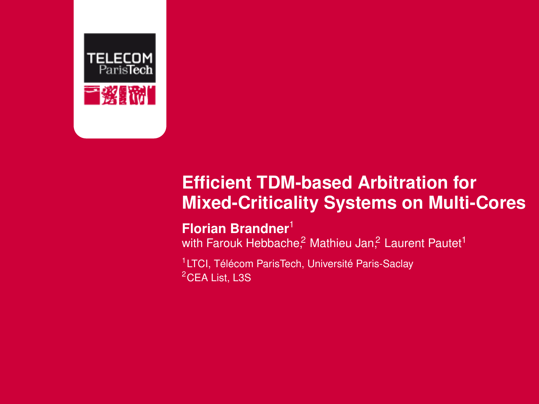

#### **Efficient TDM-based Arbitration for Mixed-Criticality Systems on Multi-Cores**

#### **Florian Brandner**<sup>1</sup>

with Farouk Hebbache,<sup>2</sup> Mathieu Jan,<sup>2</sup> Laurent Pautet<sup>1</sup>

<sup>1</sup>LTCI, Télécom ParisTech, Université Paris-Saclay <sup>2</sup>CEA List, L3S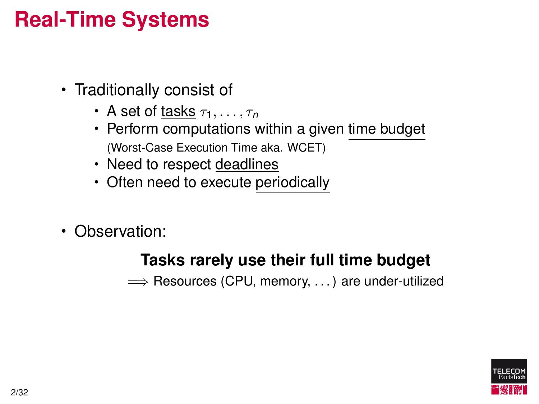#### **Real-Time Systems**

- Traditionally consist of
	- A set of tasks  $\tau_1, \ldots, \tau_n$
	- Perform computations within a given time budget (Worst-Case Execution Time aka. WCET)
	- Need to respect deadlines
	- Often need to execute periodically
- Observation:

#### **Tasks rarely use their full time budget**

⇒ Resources (CPU, memory, ...) are under-utilized

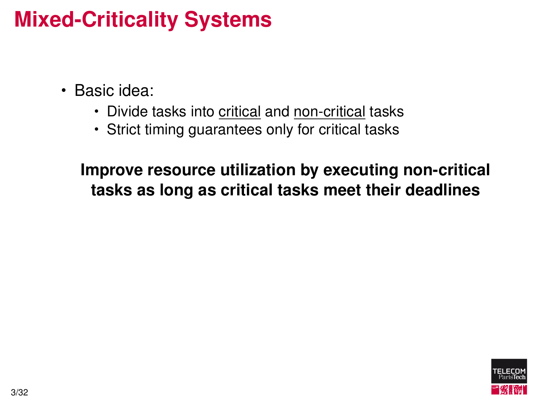## **Mixed-Criticality Systems**

- Basic idea:
	- Divide tasks into critical and non-critical tasks
	- Strict timing guarantees only for critical tasks

**Improve resource utilization by executing non-critical tasks as long as critical tasks meet their deadlines**

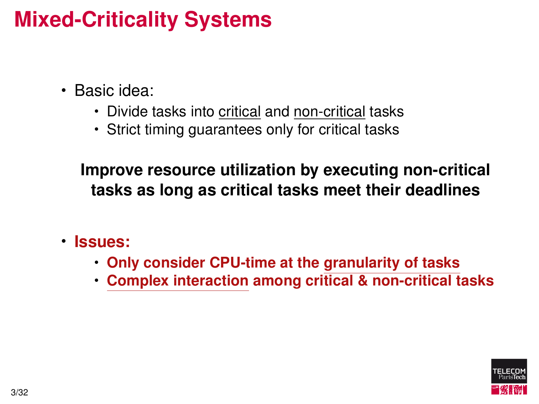## **Mixed-Criticality Systems**

- Basic idea:
	- Divide tasks into critical and non-critical tasks
	- Strict timing guarantees only for critical tasks

**Improve resource utilization by executing non-critical tasks as long as critical tasks meet their deadlines**

- **Issues:**
	- **Only consider CPU-time at the granularity of tasks**
	- **Complex interaction among critical & non-critical tasks**

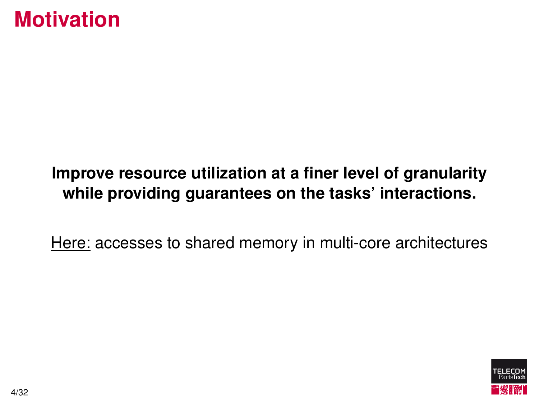#### **Motivation**

#### **Improve resource utilization at a finer level of granularity while providing guarantees on the tasks' interactions.**

Here: accesses to shared memory in multi-core architectures

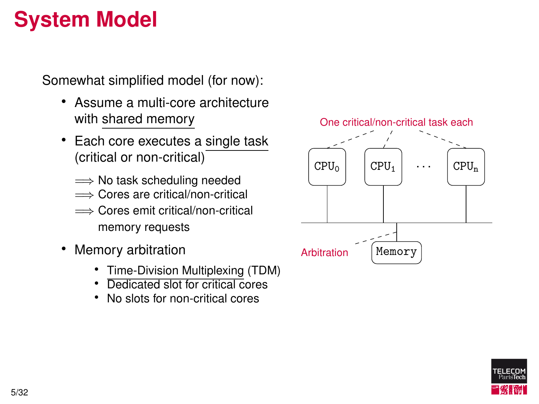## **System Model**

Somewhat simplified model (for now):

- Assume a multi-core architecture with shared memory
- Each core executes a single task (critical or non-critical)
	- ⇒ No task scheduling needed
	- =⇒ Cores are critical/non-critical
	- =⇒ Cores emit critical/non-critical memory requests
- Memory arbitration
	- Time-Division Multiplexing (TDM)
	- Dedicated slot for critical cores
	-





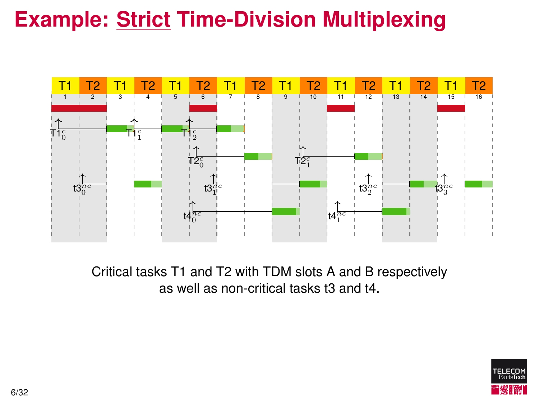

Critical tasks T1 and T2 with TDM slots A and B respectively as well as non-critical tasks t3 and t4.

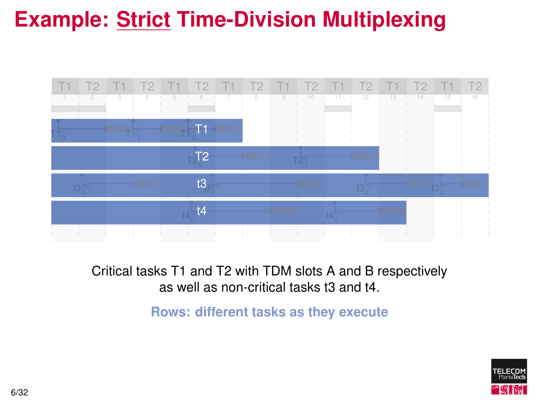

Critical tasks T1 and T2 with TDM slots A and B respectively as well as non-critical tasks t3 and t4.

**Rows: different tasks as they execute**

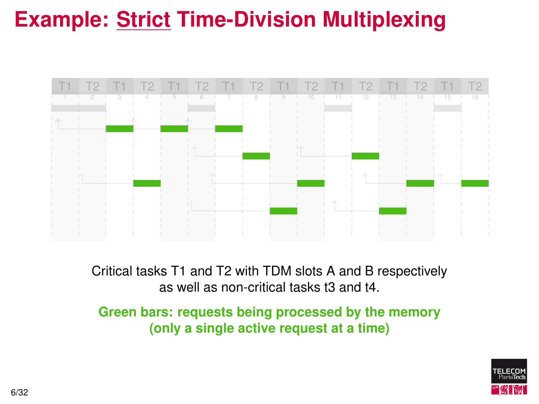

Critical tasks T1 and T2 with TDM slots A and B respectively as well as non-critical tasks t3 and t4.

**Green bars: requests being processed by the memory (only a single active request at a time)**

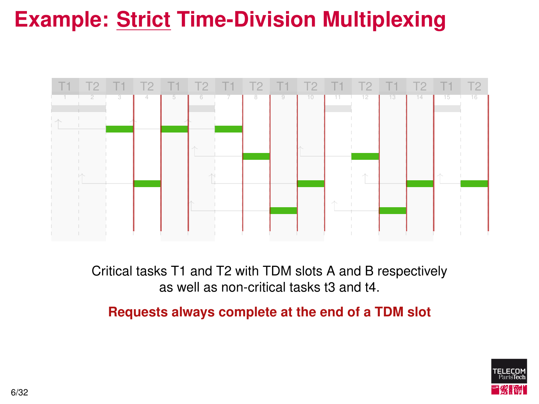

Critical tasks T1 and T2 with TDM slots A and B respectively as well as non-critical tasks t3 and t4.

**Requests always complete at the end of a TDM slot**

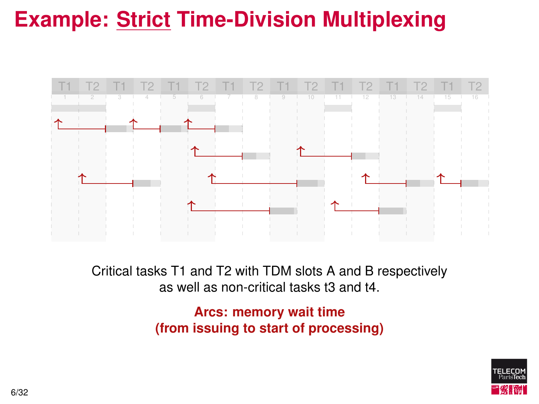

Critical tasks T1 and T2 with TDM slots A and B respectively as well as non-critical tasks t3 and t4.

> **Arcs: memory wait time (from issuing to start of processing)**

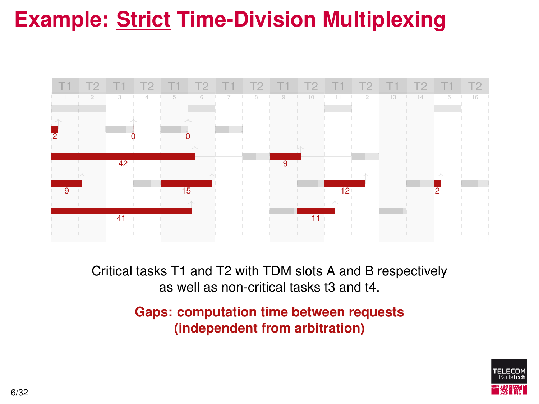

Critical tasks T1 and T2 with TDM slots A and B respectively as well as non-critical tasks t3 and t4.

> **Gaps: computation time between requests (independent from arbitration)**

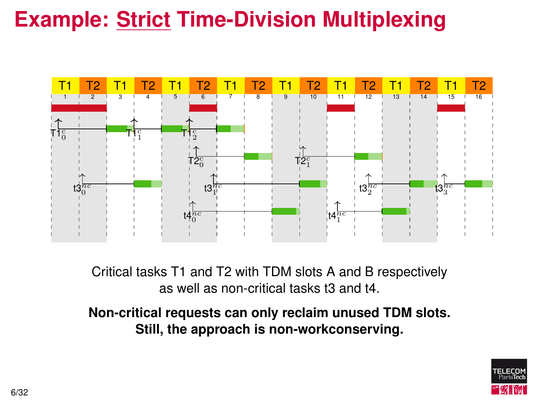

Critical tasks T1 and T2 with TDM slots A and B respectively as well as non-critical tasks t3 and t4.

**Non-critical requests can only reclaim unused TDM slots. Still, the approach is non-workconserving.**

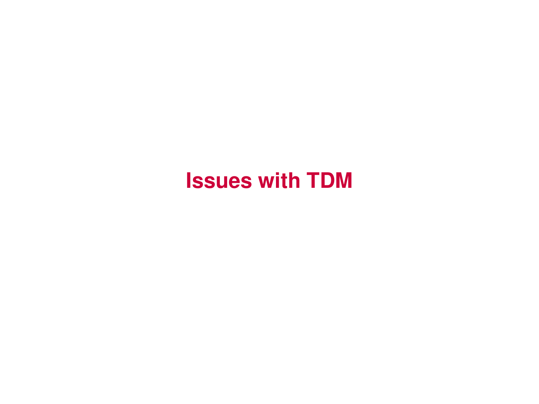#### **Issues with TDM**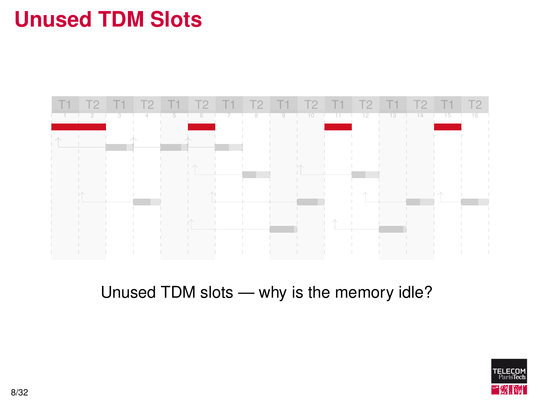## **Unused TDM Slots**



#### Unused TDM slots — why is the memory idle?

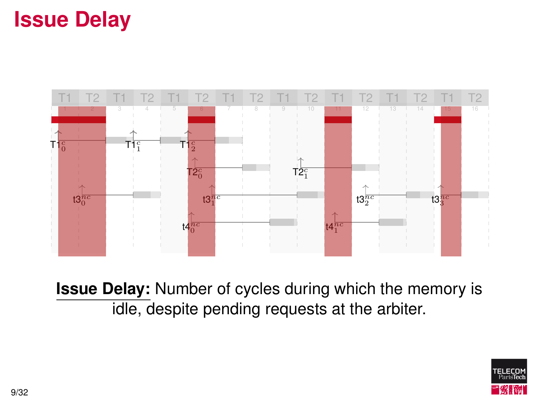## **Issue Delay**



**Issue Delay:** Number of cycles during which the memory is idle, despite pending requests at the arbiter.

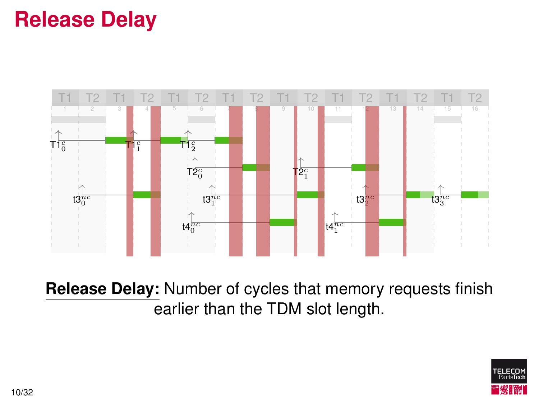### **Release Delay**



**Release Delay:** Number of cycles that memory requests finish earlier than the TDM slot length.

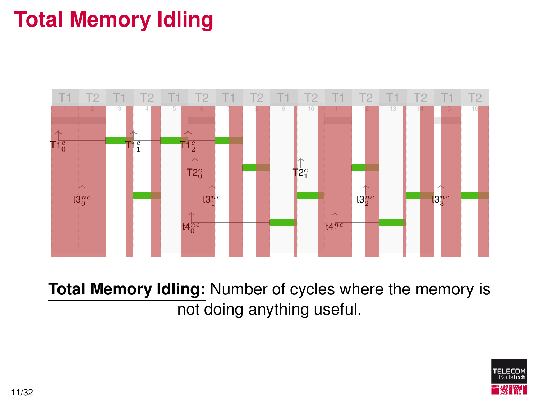# **Total Memory Idling**



**Total Memory Idling:** Number of cycles where the memory is not doing anything useful.

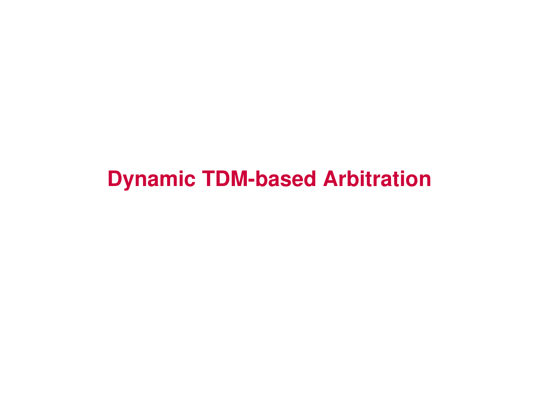#### **Dynamic TDM-based Arbitration**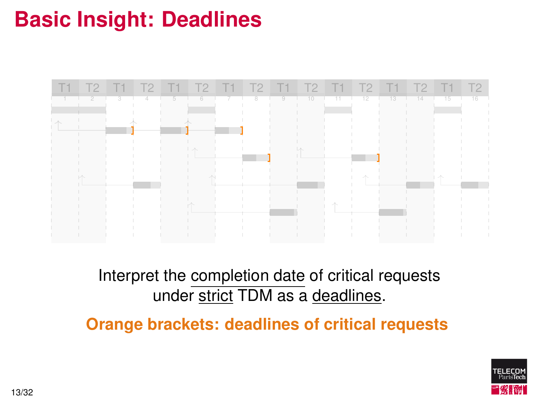# **Basic Insight: Deadlines**



Interpret the completion date of critical requests under strict TDM as a deadlines.

**Orange brackets: deadlines of critical requests**

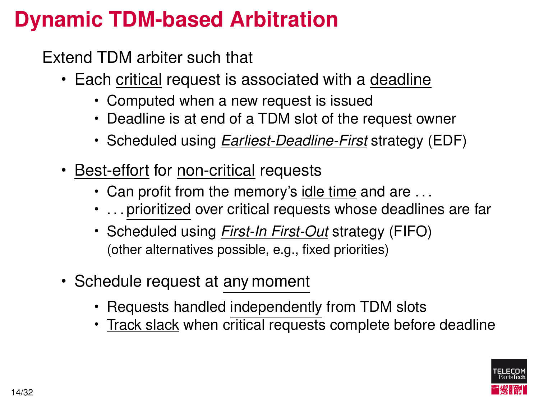## **Dynamic TDM-based Arbitration**

Extend TDM arbiter such that

- Each critical request is associated with a deadline
	- Computed when a new request is issued
	- Deadline is at end of a TDM slot of the request owner
	- Scheduled using *Earliest-Deadline-First* strategy (EDF)
- Best-effort for non-critical requests
	- Can profit from the memory's idle time and are . . .
	- . . . prioritized over critical requests whose deadlines are far
	- Scheduled using *First-In First-Out* strategy (FIFO) (other alternatives possible, e.g., fixed priorities)
- Schedule request at any moment
	- Requests handled independently from TDM slots
	- Track slack when critical requests complete before deadline

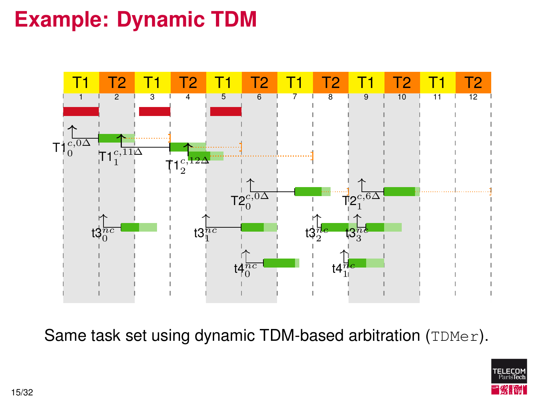### **Example: Dynamic TDM**



Same task set using dynamic TDM-based arbitration (TDMer).

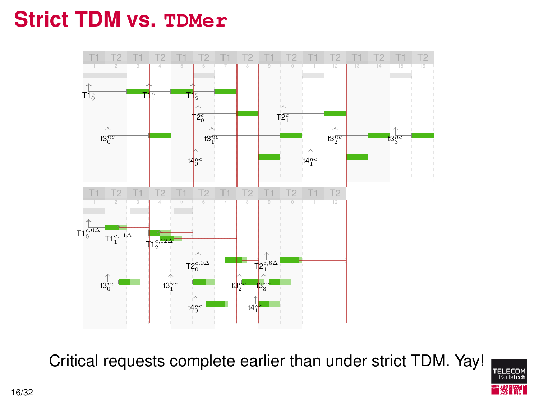#### **Strict TDM vs. TDMer**



Critical requests complete earlier than under strict TDM. Yay!

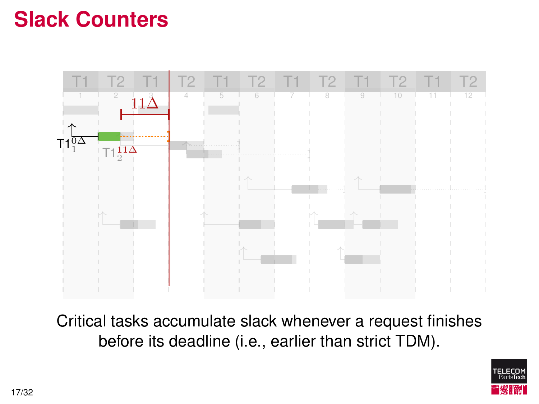#### **Slack Counters**



Critical tasks accumulate slack whenever a request finishes before its deadline (i.e., earlier than strict TDM).

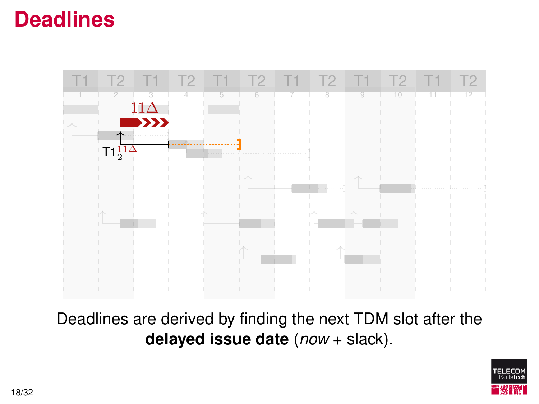#### **Deadlines**



Deadlines are derived by finding the next TDM slot after the **delayed issue date** (*now* + slack).

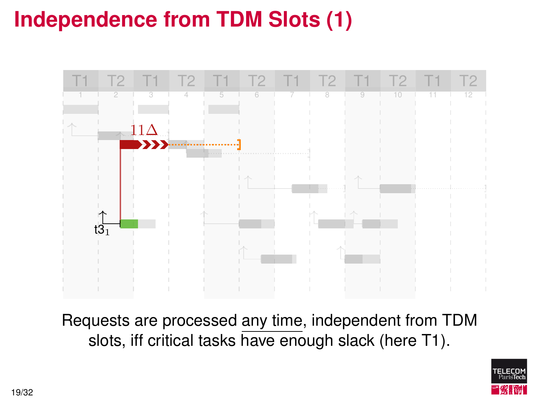## **Independence from TDM Slots (1)**



Requests are processed any time, independent from TDM slots, iff critical tasks have enough slack (here T1).

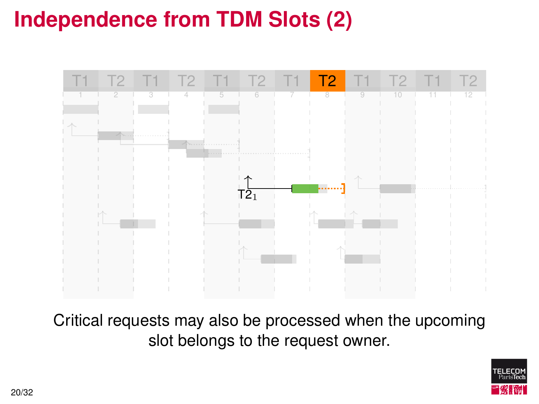## **Independence from TDM Slots (2)**



Critical requests may also be processed when the upcoming slot belongs to the request owner.

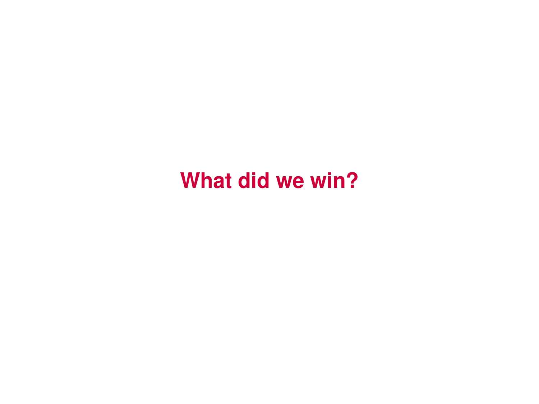#### **What did we win?**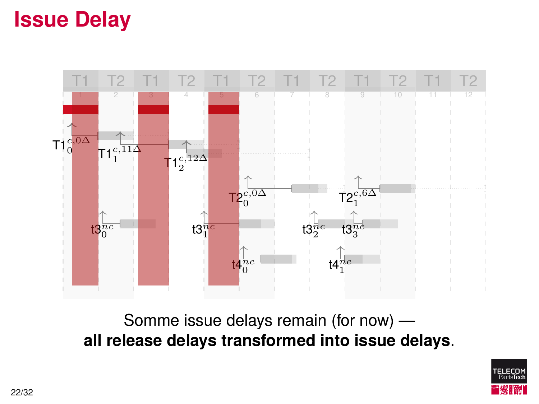#### **Issue Delay**



Somme issue delays remain (for now) **all release delays transformed into issue delays**.

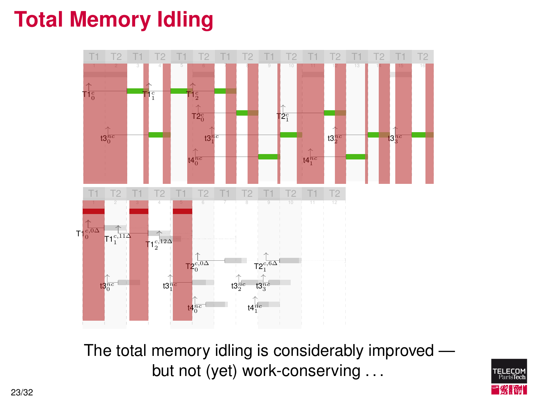#### **Total Memory Idling**



The total memory idling is considerably improved but not (yet) work-conserving ...

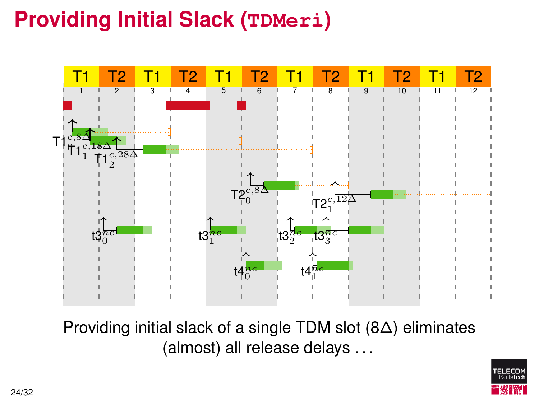## **Providing Initial Slack (TDMeri)**



Providing initial slack of a single TDM slot (8∆) eliminates (almost) all release delays . . .

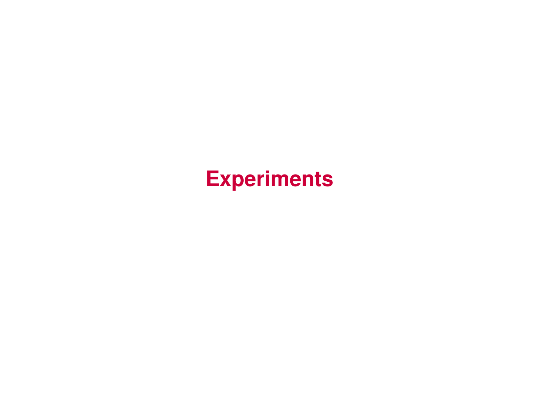#### **Experiments**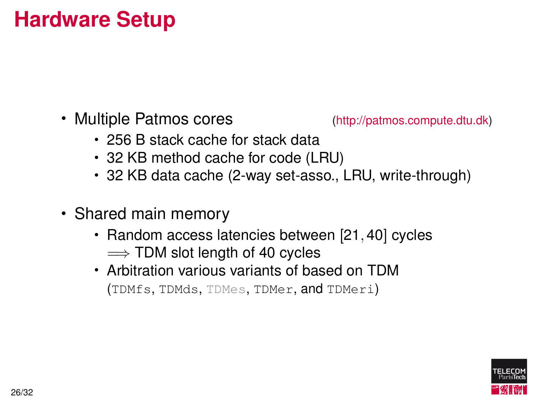#### **Hardware Setup**

• Multiple Patmos cores [\(http://patmos.compute.dtu.dk\)](http://patmos.compute.dtu.dk)

- 256 B stack cache for stack data
- 32 KB method cache for code (LRU)
- 32 KB data cache (2-way set-asso., LRU, write-through)
- Shared main memory
	- Random access latencies between [21, 40] cycles  $\Longrightarrow$  TDM slot length of 40 cycles
	- Arbitration various variants of based on TDM (TDMfs, TDMds, TDMes, TDMer, and TDMeri)

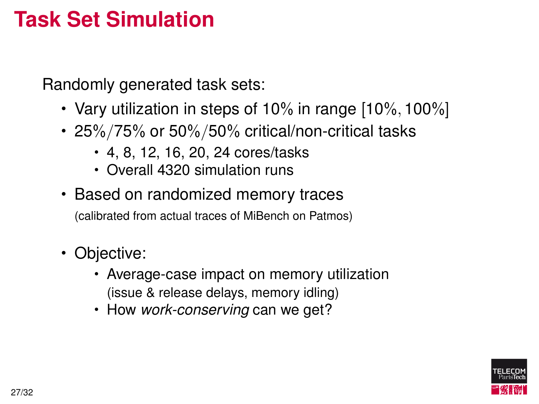#### **Task Set Simulation**

Randomly generated task sets:

- Vary utilization in steps of 10% in range [10%, 100%]
- 25%/75% or 50%/50% critical/non-critical tasks
	- 4, 8, 12, 16, 20, 24 cores/tasks
	- Overall 4320 simulation runs
- Based on randomized memory traces

(calibrated from actual traces of MiBench on Patmos)

- Objective:
	- Average-case impact on memory utilization (issue & release delays, memory idling)
	- How *work-conserving* can we get?

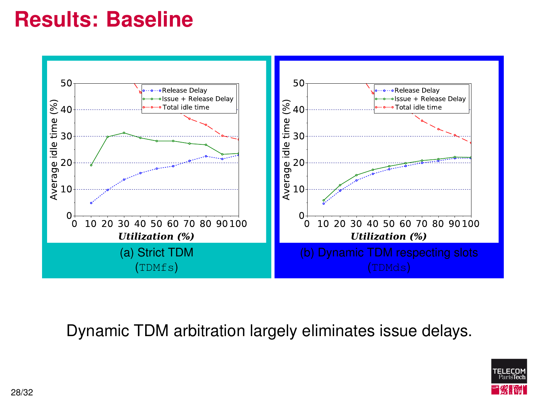#### **Results: Baseline**



Dynamic TDM arbitration largely eliminates issue delays.

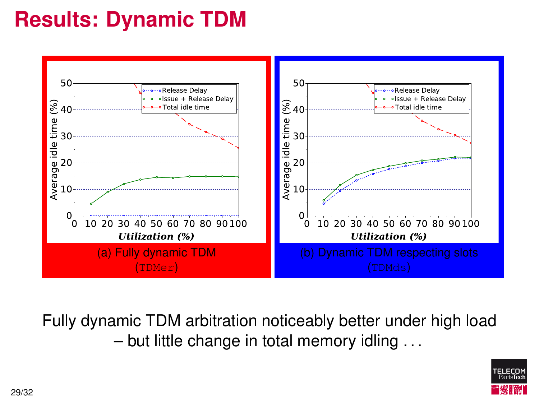# **Results: Dynamic TDM**



Fully dynamic TDM arbitration noticeably better under high load – but little change in total memory idling . . .

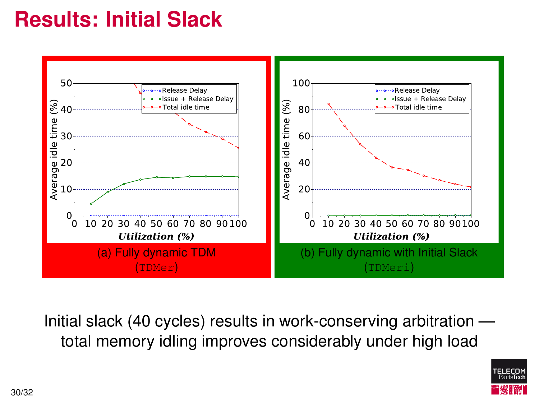## **Results: Initial Slack**



Initial slack (40 cycles) results in work-conserving arbitration total memory idling improves considerably under high load

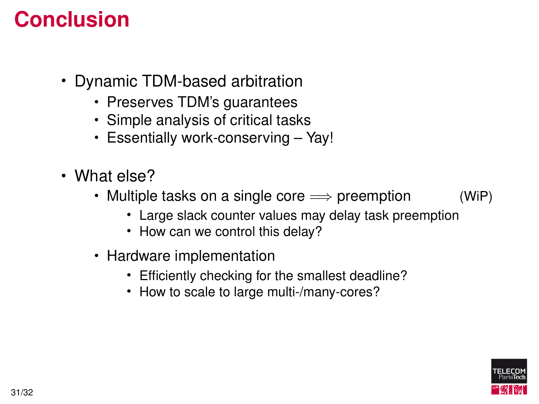#### **Conclusion**

- Dynamic TDM-based arbitration
	- Preserves TDM's guarantees
	- Simple analysis of critical tasks
	- Essentially work-conserving Yay!
- What else?
	- Multiple tasks on a single core  $\implies$  preemption (WiP)
		- Large slack counter values may delay task preemption
		- How can we control this delay?
	- Hardware implementation
		- Efficiently checking for the smallest deadline?
		- How to scale to large multi-/many-cores?